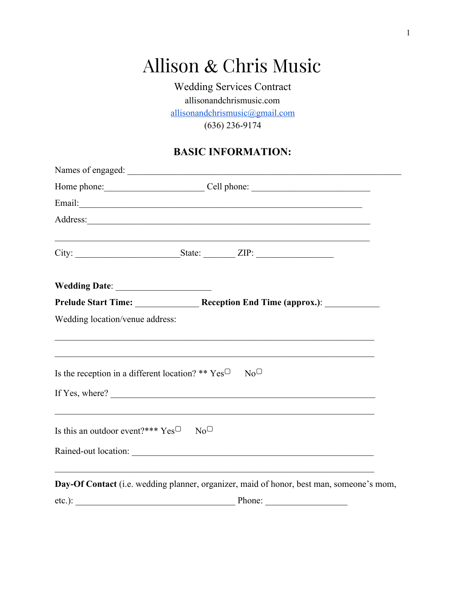# Allison & Chris Music

Wedding Services Contract allisonandchrismusic.com [allisonandchrismusic@gmail.com](mailto:allisonandchrismusic@gmail.com) (636) 236-9174

# **BASIC INFORMATION:**

|                                                            | Home phone: Cell phone: Cell phone:                                                                                                                                         |
|------------------------------------------------------------|-----------------------------------------------------------------------------------------------------------------------------------------------------------------------------|
|                                                            |                                                                                                                                                                             |
|                                                            |                                                                                                                                                                             |
|                                                            | <u> 1989 - Johann Stoff, deutscher Stoffen und der Stoffen und der Stoffen und der Stoffen und der Stoffen und der</u><br>City: $\qquad \qquad$ State: $\qquad \qquad$ ZIP: |
|                                                            |                                                                                                                                                                             |
|                                                            |                                                                                                                                                                             |
| Wedding location/venue address:                            |                                                                                                                                                                             |
|                                                            | Is the reception in a different location? ** $Yes^{\Box}$ No <sup><math>\Box</math></sup><br>If Yes, where?                                                                 |
| Is this an outdoor event?*** $Yes^{\Box} \quad No^{\Box}$  | Rained-out location:                                                                                                                                                        |
| <u> 1989 - Johann Stoff, amerikansk politiker (* 1908)</u> | <u> 1989 - Johann Barbara, martxa alemaniar arg</u><br>Day-Of Contact (i.e. wedding planner, organizer, maid of honor, best man, someone's mom,                             |
|                                                            | $etc.):$ Phone: Phone:                                                                                                                                                      |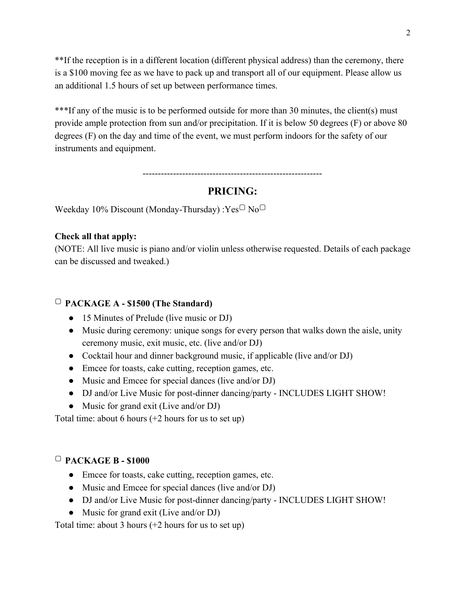\*\*If the reception is in a different location (different physical address) than the ceremony, there is a \$100 moving fee as we have to pack up and transport all of our equipment. Please allow us an additional 1.5 hours of set up between performance times.

\*\*\*If any of the music is to be performed outside for more than 30 minutes, the client(s) must provide ample protection from sun and/or precipitation. If it is below 50 degrees (F) or above 80 degrees (F) on the day and time of the event, we must perform indoors for the safety of our instruments and equipment.

-----------------------------------------------------------

## **PRICING:**

Weekday 10% Discount (Monday-Thursday) : $Yes^{\Box}No^{\Box}$ 

#### **Check all that apply:**

(NOTE: All live music is piano and/or violin unless otherwise requested. Details of each package can be discussed and tweaked.)

#### ▢ **PACKAGE A - \$1500 (The Standard)**

- 15 Minutes of Prelude (live music or DJ)
- Music during ceremony: unique songs for every person that walks down the aisle, unity ceremony music, exit music, etc. (live and/or DJ)
- Cocktail hour and dinner background music, if applicable (live and/or DJ)
- Emcee for toasts, cake cutting, reception games, etc.
- Music and Emcee for special dances (live and/or DJ)
- DJ and/or Live Music for post-dinner dancing/party INCLUDES LIGHT SHOW!
- Music for grand exit (Live and/or DJ)

Total time: about 6 hours (+2 hours for us to set up)

#### ▢ **PACKAGE B - \$1000**

- Emcee for toasts, cake cutting, reception games, etc.
- Music and Emcee for special dances (live and/or DJ)
- DJ and/or Live Music for post-dinner dancing/party INCLUDES LIGHT SHOW!
- Music for grand exit (Live and/or DJ)

Total time: about 3 hours (+2 hours for us to set up)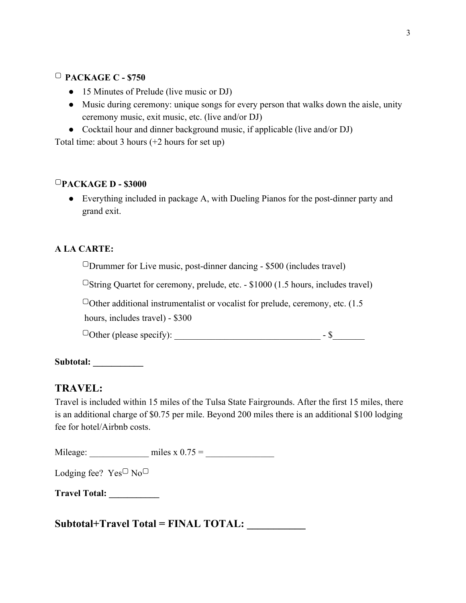## ▢ **PACKAGE C - \$750**

- 15 Minutes of Prelude (live music or DJ)
- Music during ceremony: unique songs for every person that walks down the aisle, unity ceremony music, exit music, etc. (live and/or DJ)
- Cocktail hour and dinner background music, if applicable (live and/or DJ)

Total time: about 3 hours (+2 hours for set up)

#### ▢**PACKAGE D - \$3000**

• Everything included in package A, with Dueling Pianos for the post-dinner party and grand exit.

#### **A LA CARTE:**

 $\Box$ Drummer for Live music, post-dinner dancing - \$500 (includes travel)

 $\Box$ String Quartet for ceremony, prelude, etc. - \$1000 (1.5 hours, includes travel)

 $\Box$ Other additional instrumentalist or vocalist for prelude, ceremony, etc. (1.5) hours, includes travel) - \$300

▢Other (please specify): \_\_\_\_\_\_\_\_\_\_\_\_\_\_\_\_\_\_\_\_\_\_\_\_\_\_\_\_\_\_\_\_ - \$\_\_\_\_\_\_\_

**Subtotal: \_\_\_\_\_\_\_\_\_\_\_**

## **TRAVEL:**

Travel is included within 15 miles of the Tulsa State Fairgrounds. After the first 15 miles, there is an additional charge of \$0.75 per mile. Beyond 200 miles there is an additional \$100 lodging fee for hotel/Airbnb costs.

Mileage: \_\_\_\_\_\_\_\_\_\_\_\_\_ miles x 0.75 = \_\_\_\_\_\_\_\_\_\_\_\_\_\_\_

Lodging fee?  $Yes^{\Box} No^{\Box}$ 

**Travel Total: \_\_\_\_\_\_\_\_\_\_\_**

**Subtotal+Travel Total = FINAL TOTAL: \_\_\_\_\_\_\_\_\_\_\_**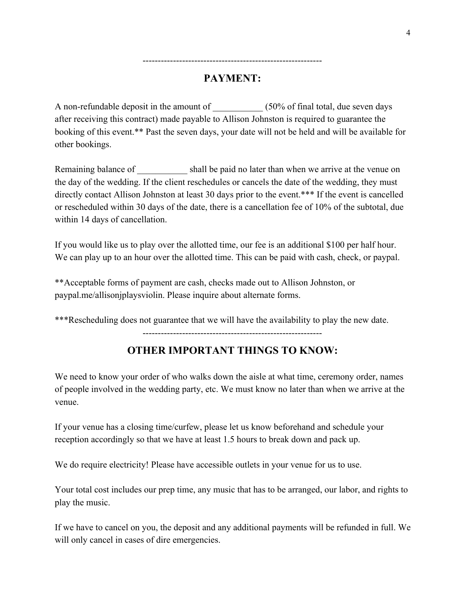# **PAYMENT:**

-----------------------------------------------------------

A non-refundable deposit in the amount of  $(50\%$  of final total, due seven days after receiving this contract) made payable to Allison Johnston is required to guarantee the booking of this event.\*\* Past the seven days, your date will not be held and will be available for other bookings.

Remaining balance of shall be paid no later than when we arrive at the venue on the day of the wedding. If the client reschedules or cancels the date of the wedding, they must directly contact Allison Johnston at least 30 days prior to the event.\*\*\* If the event is cancelled or rescheduled within 30 days of the date, there is a cancellation fee of 10% of the subtotal, due within 14 days of cancellation.

If you would like us to play over the allotted time, our fee is an additional \$100 per half hour. We can play up to an hour over the allotted time. This can be paid with cash, check, or paypal.

\*\*Acceptable forms of payment are cash, checks made out to Allison Johnston, or paypal.me/allisonjplaysviolin. Please inquire about alternate forms.

\*\*\*Rescheduling does not guarantee that we will have the availability to play the new date.

-----------------------------------------------------------

## **OTHER IMPORTANT THINGS TO KNOW:**

We need to know your order of who walks down the aisle at what time, ceremony order, names of people involved in the wedding party, etc. We must know no later than when we arrive at the venue.

If your venue has a closing time/curfew, please let us know beforehand and schedule your reception accordingly so that we have at least 1.5 hours to break down and pack up.

We do require electricity! Please have accessible outlets in your venue for us to use.

Your total cost includes our prep time, any music that has to be arranged, our labor, and rights to play the music.

If we have to cancel on you, the deposit and any additional payments will be refunded in full. We will only cancel in cases of dire emergencies.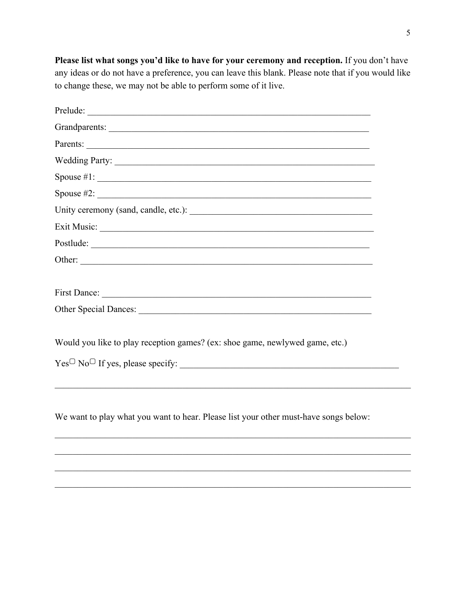Please list what songs you'd like to have for your ceremony and reception. If you don't have any ideas or do not have a preference, you can leave this blank. Please note that if you would like to change these, we may not be able to perform some of it live.

| Wedding Party:                                                                       |
|--------------------------------------------------------------------------------------|
|                                                                                      |
|                                                                                      |
|                                                                                      |
|                                                                                      |
| Postlude:                                                                            |
|                                                                                      |
|                                                                                      |
|                                                                                      |
|                                                                                      |
|                                                                                      |
| Would you like to play reception games? (ex: shoe game, newlywed game, etc.)         |
| $Yes^{\Box} No^{\Box}$ If yes, please specify:                                       |
|                                                                                      |
|                                                                                      |
| We want to play what you want to hear. Please list your other must-have songs below: |
|                                                                                      |
|                                                                                      |
|                                                                                      |